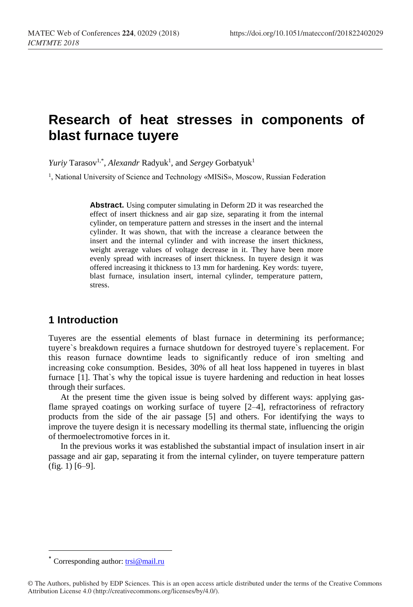# **Research of heat stresses in components of blast furnace tuyere**

Yuriy Tarasov<sup>1,\*</sup>, *Alexandr* Radyuk<sup>1</sup>, and *Sergey* Gorbatyuk<sup>1</sup>

<sup>1</sup>, National University of Science and Technology «MISiS», Moscow, Russian Federation

**Abstract.** Using computer simulating in Deform 2D it was researched the effect of insert thickness and air gap size, separating it from the internal cylinder, on temperature pattern and stresses in the insert and the internal cylinder. It was shown, that with the increase a clearance between the insert and the internal cylinder and with increase the insert thickness, weight average values of voltage decrease in it. They have been more evenly spread with increases of insert thickness. In tuyere design it was offered increasing it thickness to 13 mm for hardening. Key words: tuyere, blast furnace, insulation insert, internal cylinder, temperature pattern, stress.

## **1 Introduction**

Tuyeres are the essential elements of blast furnace in determining its performance; tuyere`s breakdown requires a furnace shutdown for destroyed tuyere`s replacement. For this reason furnace downtime leads to significantly reduce of iron smelting and increasing coke consumption. Besides, 30% of all heat loss happened in tuyeres in blast furnace [1]. That`s why the topical issue is tuyere hardening and reduction in heat losses through their surfaces.

At the present time the given issue is being solved by different ways: applying gasflame sprayed coatings on working surface of tuyere [2–4], refractoriness of refractory products from the side of the air passage [5] and others. For identifying the ways to improve the tuyere design it is necessary modelling its thermal state, influencing the origin of thermoelectromotive forces in it.

In the previous works it was established the substantial impact of insulation insert in air passage and air gap, separating it from the internal cylinder, on tuyere temperature pattern (fig. 1) [6–9].

 $\overline{\phantom{a}}$ 

<sup>\*</sup> Corresponding author:<trsi@mail.ru>

<sup>©</sup> The Authors, published by EDP Sciences. This is an open access article distributed under the terms of the Creative Commons Attribution License 4.0 (http://creativecommons.org/licenses/by/4.0/).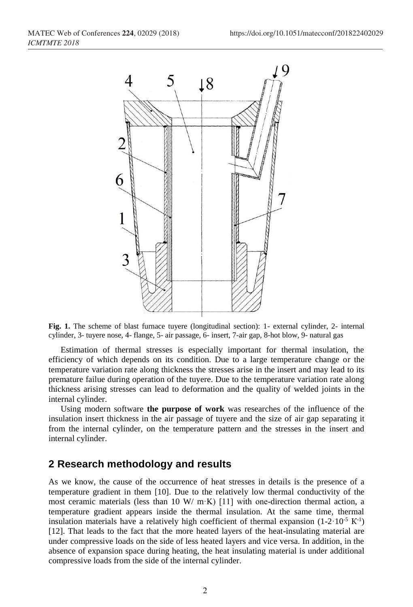

**Fig. 1.** The scheme of blast furnace tuyere (longitudinal section): 1- external cylinder, 2- internal cylinder, 3- tuyere nose, 4- flange, 5- air passage, 6- insert, 7-air gap, 8-hot blow, 9- natural gas

Estimation of thermal stresses is especially important for thermal insulation, the efficiency of which depends on its condition. Due to a large temperature change or the temperature variation rate along thickness the stresses arise in the insert and may lead to its premature failue during operation of the tuyere. Due to the temperature variation rate along thickness arising stresses can lead to deformation and the quality of welded joints in the internal cylinder.

Using modern software **the purpose of work** was researches of the influence of the insulation insert thickness in the air passage of tuyere and the size of air gap separating it from the internal cylinder, on the temperature pattern and the stresses in the insert and internal cylinder.

#### **2 Research methodology and results**

As we know, the cause of the occurrence of heat stresses in details is the presence of a temperature gradient in them [10]. Due to the relatively low thermal conductivity of the most ceramic materials (less than 10 W/ m·K) [11] with one-direction thermal action, a temperature gradient appears inside the thermal insulation. At the same time, thermal insulation materials have a relatively high coefficient of thermal expansion  $(1-2.10^{5} \text{ K}^{-1})$ [12]. That leads to the fact that the more heated layers of the heat-insulating material are under compressive loads on the side of less heated layers and vice versa. In addition, in the absence of expansion space during heating, the heat insulating material is under additional compressive loads from the side of the internal cylinder.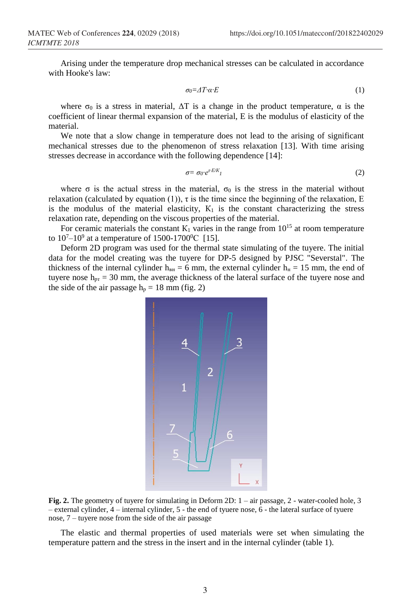Arising under the temperature drop mechanical stresses can be calculated in accordance with Hooke's law:

$$
\sigma_0 = \Delta T \cdot \alpha \cdot E \tag{1}
$$

where  $\sigma_0$  is a stress in material,  $\Delta T$  is a change in the product temperature,  $\alpha$  is the coefficient of linear thermal expansion of the material, E is the modulus of elasticity of the material.

We note that a slow change in temperature does not lead to the arising of significant mechanical stresses due to the phenomenon of stress relaxation [13]. With time arising stresses decrease in accordance with the following dependence [14]:

$$
\sigma = \sigma_0 \cdot e^{\tau E/K} \tag{2}
$$

where  $\sigma$  is the actual stress in the material,  $\sigma_0$  is the stress in the material without relaxation (calculated by equation (1)), τ is the time since the beginning of the relaxation, E is the modulus of the material elasticity,  $K_1$  is the constant characterizing the stress relaxation rate, depending on the viscous properties of the material.

For ceramic materials the constant  $K_1$  varies in the range from  $10^{15}$  at room temperature to  $10^{7}-10^{9}$  at a temperature of 1500-1700<sup>0</sup>C [15].

Deform 2D program was used for the thermal state simulating of the tuyere. The initial data for the model creating was the tuyere for DP-5 designed by PJSC "Severstal". The thickness of the internal cylinder  $h_{BH} = 6$  mm, the external cylinder  $h_{H} = 15$  mm, the end of tuyere nose  $h_{\text{pr}} = 30$  mm, the average thickness of the lateral surface of the tuyere nose and the side of the air passage  $h_p = 18$  mm (fig. 2)



**Fig. 2.** The geometry of tuyere for simulating in Deform 2D: 1 – air passage, 2 - water-cooled hole, 3 – external cylinder, 4 – internal cylinder, 5 - the end of tyuere nose, 6 - the lateral surface of tyuere nose, 7 – tuyere nose from the side of the air passage

The elastic and thermal properties of used materials were set when simulating the temperature pattern and the stress in the insert and in the internal cylinder (table 1).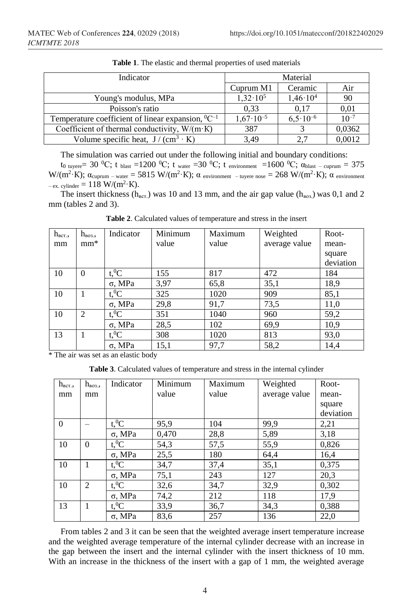| Indicator                                                   | Material             |                     |           |
|-------------------------------------------------------------|----------------------|---------------------|-----------|
|                                                             | Cuprum M1            | Ceramic             | Air       |
| Young's modulus, MPa                                        | $1,32 \cdot 10^5$    | $1,46 \cdot 10^{4}$ | 90        |
| Poisson's ratio                                             | 0.33                 | 0.17                | 0,01      |
| Temperature coefficient of linear expansion, ${}^{0}C^{-1}$ | $1,67 \cdot 10^{-5}$ | $6.5 \cdot 10^{-6}$ | $10^{-7}$ |
| Coefficient of thermal conductivity, $W/(m \cdot K)$        | 387                  |                     | 0,0362    |
| Volume specific heat, $J/(cm^3 \cdot K)$                    | 3,49                 |                     | 0,0012    |

**Table 1**. The elastic and thermal properties of used materials

The simulation was carried out under the following initial and boundary conditions:

t<sub>0 tuyere</sub>= 30 <sup>0</sup>C; t <sub>blast</sub> =1200 <sup>0</sup>C; t <sub>water</sub> =30 <sup>0</sup>C; t <sub>environment</sub> =1600 <sup>0</sup>C;  $\alpha_{\text{blast - cuprum}} = 375$ W/(m<sup>2</sup>·K);  $\alpha$ <sub>cuprum – water</sub> = 5815 W/(m<sup>2</sup>·K); α environment – tuyere nose = 268 W/(m<sup>2</sup>·K); α environment  $-$  ex. cylinder = 118 W/(m<sup>2</sup> $\cdot$ K).

The insert thickness ( $h_{BCT}$ ) was 10 and 13 mm, and the air gap value ( $h_{B03}$ ) was 0,1 and 2 mm (tables 2 and 3).

| $h_{BCT}$ , | $h_{\text{B03.}}$ | Indicator                       | Minimum | Maximum | Weighted      | Root-     |
|-------------|-------------------|---------------------------------|---------|---------|---------------|-----------|
| mm          | $mm^*$            |                                 | value   | value   | average value | mean-     |
|             |                   |                                 |         |         |               | square    |
|             |                   |                                 |         |         |               | deviation |
| 10          | $\theta$          | $t$ <sup>0</sup> $\overline{C}$ | 155     | 817     | 472           | 184       |
|             |                   | $\sigma$ , MPa                  | 3,97    | 65,8    | 35,1          | 18,9      |
| 10          | 1                 | $t,{}^{0}C$                     | 325     | 1020    | 909           | 85,1      |
|             |                   | $\sigma$ , MPa                  | 29,8    | 91,7    | 73,5          | 11,0      |
| 10          | 2                 | $t$ <sup>0</sup> C              | 351     | 1040    | 960           | 59,2      |
|             |                   | $\sigma$ , MPa                  | 28,5    | 102     | 69,9          | 10,9      |
| 13          | 1                 | $t,{}^{0}C$                     | 308     | 1020    | 813           | 93,0      |
|             |                   | $\sigma$ , MPa                  | 15,1    | 97,7    | 58,2          | 14,4      |

**Table 2**. Calculated values of temperature and stress in the insert

\* The air was set as an elastic body

**Table 3**. Calculated values of temperature and stress in the internal cylinder

| $h_{BCT}$ , | $h_{\text{BO3.}}$ | Indicator          | Minimum | Maximum | Weighted      | Root-     |
|-------------|-------------------|--------------------|---------|---------|---------------|-----------|
| mm          | mm                |                    | value   | value   | average value | mean-     |
|             |                   |                    |         |         |               | square    |
|             |                   |                    |         |         |               | deviation |
| $\theta$    |                   | $t$ <sup>0</sup> C | 95,9    | 104     | 99,9          | 2,21      |
|             |                   | $\sigma$ . MPa     | 0,470   | 28,8    | 5,89          | 3,18      |
| 10          | $\Omega$          | $t$ <sup>0</sup> C | 54,3    | 57,5    | 55,9          | 0,826     |
|             |                   | σ, MPa             | 25,5    | 180     | 64,4          | 16,4      |
| 10          | 1                 | $t^0C$             | 34,7    | 37,4    | 35,1          | 0,375     |
|             |                   | $\sigma$ , MPa     | 75,1    | 243     | 127           | 20,3      |
| 10          | $\mathfrak{D}$    | $t$ <sup>0</sup> C | 32,6    | 34,7    | 32,9          | 0,302     |
|             |                   | $\sigma$ , MPa     | 74,2    | 212     | 118           | 17,9      |
| 13          | 1                 | $t$ <sup>0</sup> C | 33,9    | 36,7    | 34,3          | 0,388     |
|             |                   | σ. MPa             | 83,6    | 257     | 136           | 22,0      |

From tables 2 and 3 it can be seen that the weighted average insert temperature increase and the weighted average temperature of the internal cylinder decrease with an increase in the gap between the insert and the internal cylinder with the insert thickness of 10 mm. With an increase in the thickness of the insert with a gap of 1 mm, the weighted average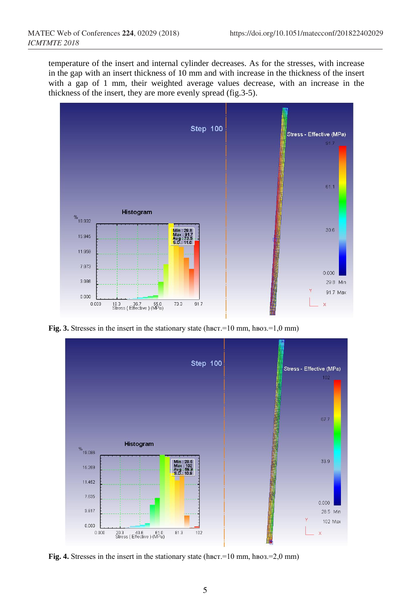temperature of the insert and internal cylinder decreases. As for the stresses, with increase in the gap with an insert thickness of 10 mm and with increase in the thickness of the insert with a gap of 1 mm, their weighted average values decrease, with an increase in the thickness of the insert, they are more evenly spread (fig.3-5).



**Fig. 3.** Stresses in the insert in the stationary state (hвст.=10 mm, hвоз.=1,0 mm)



**Fig. 4.** Stresses in the insert in the stationary state (hвст.=10 mm, hвоз.=2,0 mm)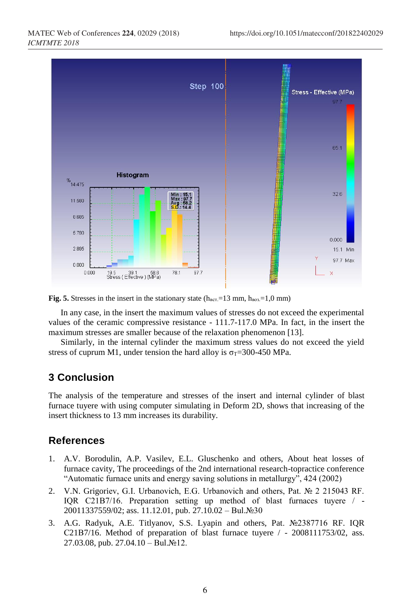

**Fig. 5.** Stresses in the insert in the stationary state  $(h_{\text{BCT}}=13 \text{ mm}, h_{\text{B03}}=1,0 \text{ mm})$ 

In any case, in the insert the maximum values of stresses do not exceed the experimental values of the ceramic compressive resistance - 111.7-117.0 MPa. In fact, in the insert the maximum stresses are smaller because of the relaxation phenomenon [13].

Similarly, in the internal cylinder the maximum stress values do not exceed the yield stress of cuprum M1, under tension the hard alloy is  $\sigma$ <sub>T</sub>=300-450 MPa.

## **3 Conclusion**

The analysis of the temperature and stresses of the insert and internal cylinder of blast furnace tuyere with using computer simulating in Deform 2D, shows that increasing of the insert thickness to 13 mm increases its durability.

### **References**

- 1. A.V. Borodulin, A.P. Vasilev, E.L. Gluschenko and others, About heat losses of furnace cavity, The proceedings of the 2nd international research-topractice conference "Automatic furnace units and energy saving solutions in metallurgy", 424 (2002)
- 2. V.N. Grigoriev, G.I. Urbanovich, E.G. Urbanovich and others, Pat. № 2 215043 RF. IQR С21В7/16. Preparation setting up method of blast furnaces tuyere / - 20011337559/02; ass. 11.12.01, pub. 27.10.02 – Bul.№30
- 3. A.G. Radyuk, A.E. Titlyanov, S.S. Lyapin and others, Pat. №2387716 RF. IQR С21В7/16. Method of preparation of blast furnace tuyere / - 2008111753/02, ass. 27.03.08, pub. 27.04.10 – Bul.№12.